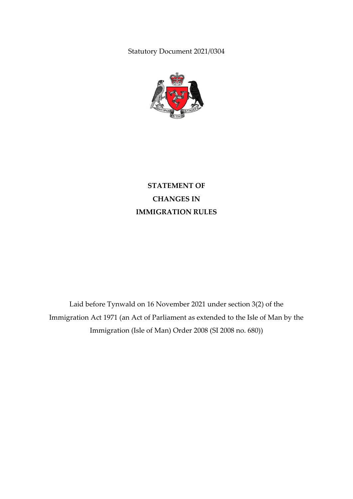Statutory Document 2021/0304



**STATEMENT OF CHANGES IN IMMIGRATION RULES**

Laid before Tynwald on 16 November 2021 under section 3(2) of the Immigration Act 1971 (an Act of Parliament as extended to the Isle of Man by the Immigration (Isle of Man) Order 2008 (SI 2008 no. 680))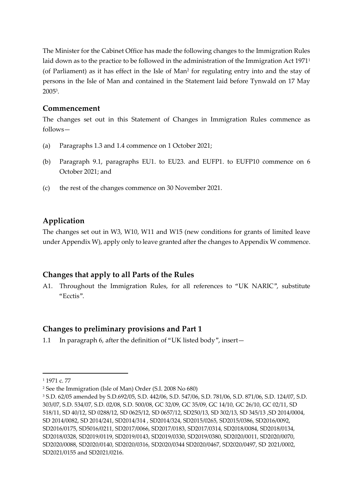The Minister for the Cabinet Office has made the following changes to the Immigration Rules laid down as to the practice to be followed in the administration of the Immigration Act 1971<sup>1</sup> (of Parliament) as it has effect in the Isle of Man<sup>2</sup> for regulating entry into and the stay of persons in the Isle of Man and contained in the Statement laid before Tynwald on 17 May 2005<sup>3</sup> .

### **Commencement**

The changes set out in this Statement of Changes in Immigration Rules commence as follows—

- (a) Paragraphs 1.3 and 1.4 commence on 1 October 2021;
- (b) Paragraph 9.1, paragraphs EU1. to EU23. and EUFP1. to EUFP10 commence on 6 October 2021; and
- (c) the rest of the changes commence on 30 November 2021.

# **Application**

The changes set out in W3, W10, W11 and W15 (new conditions for grants of limited leave under Appendix W), apply only to leave granted after the changes to Appendix W commence.

## **Changes that apply to all Parts of the Rules**

A1. Throughout the Immigration Rules, for all references to "UK NARIC", substitute "Ecctis".

## **Changes to preliminary provisions and Part 1**

1.1 In paragraph 6, after the definition of "UK listed body", insert—

**.** 

<sup>1</sup> 1971 c. 77

<sup>2</sup> See the Immigration (Isle of Man) Order (S.I. 2008 No 680)

<sup>3</sup> S.D. 62/05 amended by S.D.692/05, S.D. 442/06, S.D. 547/06, S.D. 781/06, S.D. 871/06, S.D. 124/07, S.D. 303/07, S.D. 534/07, S.D. 02/08, S.D. 500/08, GC 32/09, GC 35/09, GC 14/10, GC 26/10, GC 02/11, SD 518/11, SD 40/12, SD 0288/12, SD 0625/12, SD 0657/12, SD250/13, SD 302/13, SD 345/13 ,SD 2014/0004, SD 2014/0082, SD 2014/241, SD2014/314 , SD2014/324, SD2015/0265, SD2015/0386, SD2016/0092, SD2016/0175, SD5016/0211, SD2017/0066, SD2017/0183, SD2017/0314, SD2018/0084, SD2018/0134, SD2018/0328, SD2019/0119, SD2019/0143, SD2019/0330, SD2019/0380, SD2020/0011, SD2020/0070, SD2020/0088, SD2020/0140, SD2020/0316, SD2020/0344 SD2020/0467, SD2020/0497, SD 2021/0002, SD2021/0155 and SD2021/0216.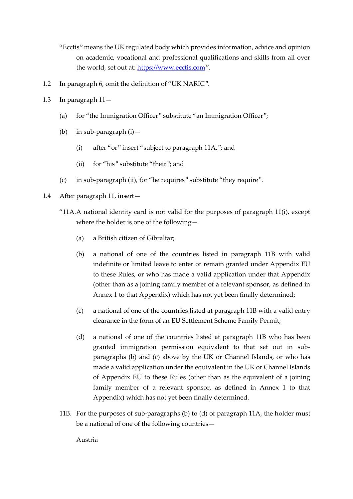"Ecctis" means the UK regulated body which provides information, advice and opinion on academic, vocational and professional qualifications and skills from all over the world, set out at: [https://www.ecctis.com](https://www.ecctis.com/)".

- 1.2 In paragraph 6, omit the definition of "UK NARIC".
- 1.3 In paragraph 11—
	- (a) for "the Immigration Officer" substitute "an Immigration Officer";
	- (b) in sub-paragraph (i)—
		- (i) after "or" insert "subject to paragraph 11A,"; and
		- (ii) for "his" substitute "their"; and
	- (c) in sub-paragraph (ii), for "he requires" substitute "they require".
- 1.4 After paragraph 11, insert—
	- "11A.A national identity card is not valid for the purposes of paragraph 11(i), except where the holder is one of the following—
		- (a) a British citizen of Gibraltar;
		- (b) a national of one of the countries listed in paragraph 11B with valid indefinite or limited leave to enter or remain granted under Appendix EU to these Rules, or who has made a valid application under that Appendix (other than as a joining family member of a relevant sponsor, as defined in Annex 1 to that Appendix) which has not yet been finally determined;
		- (c) a national of one of the countries listed at paragraph 11B with a valid entry clearance in the form of an EU Settlement Scheme Family Permit;
		- (d) a national of one of the countries listed at paragraph 11B who has been granted immigration permission equivalent to that set out in subparagraphs (b) and (c) above by the UK or Channel Islands, or who has made a valid application under the equivalent in the UK or Channel Islands of Appendix EU to these Rules (other than as the equivalent of a joining family member of a relevant sponsor, as defined in Annex 1 to that Appendix) which has not yet been finally determined.
	- 11B. For the purposes of sub-paragraphs (b) to (d) of paragraph 11A, the holder must be a national of one of the following countries—

Austria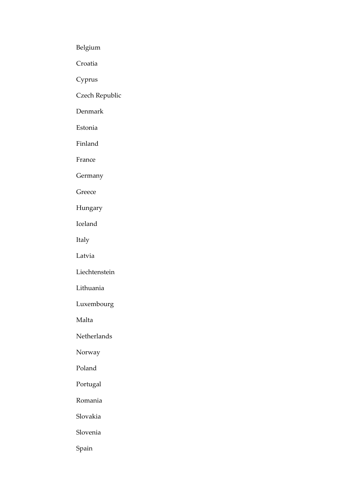Belgium

Croatia

Cyprus

Czech Republic

Denmark

Estonia

Finland

France

Germany

Greece

Hungary

Iceland

Italy

Latvia

Liechtenstein

Lithuania

Luxembourg

Malta

Netherlands

Norway

Poland

Portugal

Romania

Slovakia

Slovenia

Spain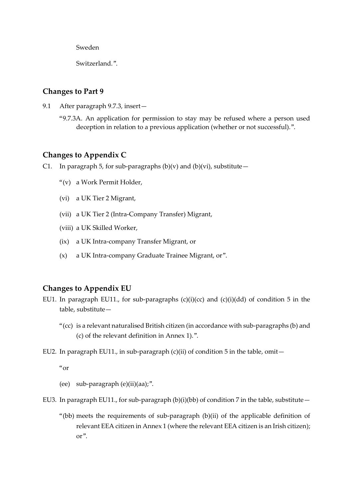Sweden

Switzerland."

### **Changes to Part 9**

- 9.1 After paragraph 9.7.3, insert—
	- "9.7.3A. An application for permission to stay may be refused where a person used deception in relation to a previous application (whether or not successful).".

### **Changes to Appendix C**

- C1. In paragraph 5, for sub-paragraphs  $(b)(v)$  and  $(b)(vi)$ , substitute
	- "(v) a Work Permit Holder,
	- (vi) a UK Tier 2 Migrant,
	- (vii) a UK Tier 2 (Intra-Company Transfer) Migrant,
	- (viii) a UK Skilled Worker,
	- (ix) a UK Intra-company Transfer Migrant, or
	- (x) a UK Intra-company Graduate Trainee Migrant, or".

### **Changes to Appendix EU**

- EU1. In paragraph EU11., for sub-paragraphs  $(c)(i)(cc)$  and  $(c)(i)(dd)$  of condition 5 in the table, substitute—
	- "(cc) is a relevant naturalised British citizen (in accordance with sub-paragraphs (b) and (c) of the relevant definition in Annex 1).".
- EU2. In paragraph EU11., in sub-paragraph  $(c)(ii)$  of condition 5 in the table, omit-

 $^{\alpha}$ or

- (ee) sub-paragraph (e)(ii)(aa);".
- EU3. In paragraph EU11., for sub-paragraph (b)(i)(bb) of condition 7 in the table, substitute  $-$ 
	- "(bb) meets the requirements of sub-paragraph (b)(ii) of the applicable definition of relevant EEA citizen in Annex 1 (where the relevant EEA citizen is an Irish citizen); or".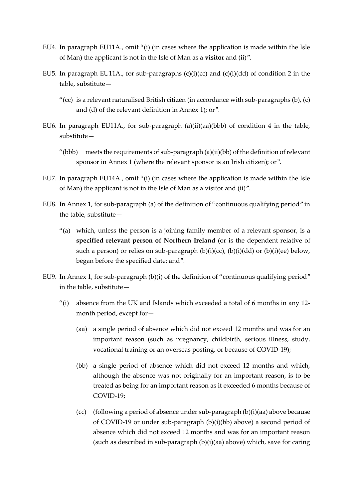- EU4. In paragraph EU11A., omit "(i) (in cases where the application is made within the Isle of Man) the applicant is not in the Isle of Man as a **visitor** and (ii)".
- EU5. In paragraph EU11A., for sub-paragraphs (c)(i)(cc) and (c)(i)(dd) of condition 2 in the table, substitute—
	- "(cc) is a relevant naturalised British citizen (in accordance with sub-paragraphs  $(b)$ ,  $(c)$ and (d) of the relevant definition in Annex 1); or".
- EU6. In paragraph EU11A., for sub-paragraph (a)(ii)(aa)(bbb) of condition 4 in the table, substitute—
	- "(bbb) meets the requirements of sub-paragraph (a)(ii)(bb) of the definition of relevant sponsor in Annex 1 (where the relevant sponsor is an Irish citizen); or".
- EU7. In paragraph EU14A., omit "(i) (in cases where the application is made within the Isle of Man) the applicant is not in the Isle of Man as a visitor and (ii)".
- EU8. In Annex 1, for sub-paragraph (a) of the definition of "continuous qualifying period" in the table, substitute—
	- "(a) which, unless the person is a joining family member of a relevant sponsor, is a **specified relevant person of Northern Ireland** (or is the dependent relative of such a person) or relies on sub-paragraph  $(b)(i)(cc)$ ,  $(b)(i)(dd)$  or  $(b)(i)(ee)$  below, began before the specified date; and".
- EU9. In Annex 1, for sub-paragraph (b)(i) of the definition of "continuous qualifying period" in the table, substitute—
	- "(i) absence from the UK and Islands which exceeded a total of 6 months in any 12 month period, except for—
		- (aa) a single period of absence which did not exceed 12 months and was for an important reason (such as pregnancy, childbirth, serious illness, study, vocational training or an overseas posting, or because of COVID-19);
		- (bb) a single period of absence which did not exceed 12 months and which, although the absence was not originally for an important reason, is to be treated as being for an important reason as it exceeded 6 months because of COVID-19;
		- (cc) (following a period of absence under sub-paragraph (b)(i)(aa) above because of COVID-19 or under sub-paragraph (b)(i)(bb) above) a second period of absence which did not exceed 12 months and was for an important reason (such as described in sub-paragraph (b)(i)(aa) above) which, save for caring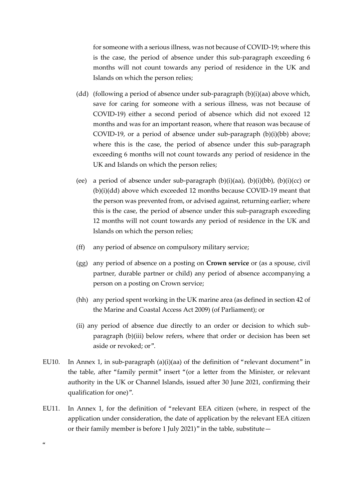for someone with a serious illness, was not because of COVID-19; where this is the case, the period of absence under this sub-paragraph exceeding 6 months will not count towards any period of residence in the UK and Islands on which the person relies;

- (dd) (following a period of absence under sub-paragraph (b)(i)(aa) above which, save for caring for someone with a serious illness, was not because of COVID-19) either a second period of absence which did not exceed 12 months and was for an important reason, where that reason was because of COVID-19, or a period of absence under sub-paragraph (b)(i)(bb) above; where this is the case, the period of absence under this sub-paragraph exceeding 6 months will not count towards any period of residence in the UK and Islands on which the person relies;
- (ee) a period of absence under sub-paragraph  $(b)(i)(aa)$ ,  $(b)(i)(bb)$ ,  $(b)(i)(cc)$  or (b)(i)(dd) above which exceeded 12 months because COVID-19 meant that the person was prevented from, or advised against, returning earlier; where this is the case, the period of absence under this sub-paragraph exceeding 12 months will not count towards any period of residence in the UK and Islands on which the person relies;
- (ff) any period of absence on compulsory military service;
- (gg) any period of absence on a posting on **Crown service** or (as a spouse, civil partner, durable partner or child) any period of absence accompanying a person on a posting on Crown service;
- (hh) any period spent working in the UK marine area (as defined in section 42 of the Marine and Coastal Access Act 2009) (of Parliament); or
- (ii) any period of absence due directly to an order or decision to which subparagraph (b)(iii) below refers, where that order or decision has been set aside or revoked; or".
- EU10. In Annex 1, in sub-paragraph  $(a)(i)(aa)$  of the definition of "relevant document" in the table, after "family permit" insert "(or a letter from the Minister, or relevant authority in the UK or Channel Islands, issued after 30 June 2021, confirming their qualification for one)".
- EU11. In Annex 1, for the definition of "relevant EEA citizen (where, in respect of the application under consideration, the date of application by the relevant EEA citizen or their family member is before 1 July 2021)" in the table, substitute—

 $\alpha$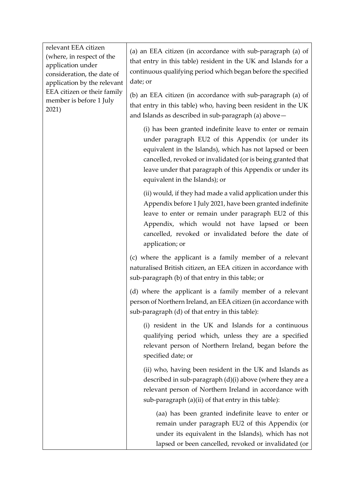relevant EEA citizen (where, in respect of the application under consideration, the date of application by the relevant EEA citizen or their family member is before 1 July 2021)

(a) an EEA citizen (in accordance with sub-paragraph (a) of that entry in this table) resident in the UK and Islands for a continuous qualifying period which began before the specified date; or

(b) an EEA citizen (in accordance with sub-paragraph (a) of that entry in this table) who, having been resident in the UK and Islands as described in sub-paragraph (a) above—

(i) has been granted indefinite leave to enter or remain under paragraph EU2 of this Appendix (or under its equivalent in the Islands), which has not lapsed or been cancelled, revoked or invalidated (or is being granted that leave under that paragraph of this Appendix or under its equivalent in the Islands); or

(ii) would, if they had made a valid application under this Appendix before 1 July 2021, have been granted indefinite leave to enter or remain under paragraph EU2 of this Appendix, which would not have lapsed or been cancelled, revoked or invalidated before the date of application; or

(c) where the applicant is a family member of a relevant naturalised British citizen, an EEA citizen in accordance with sub-paragraph (b) of that entry in this table; or

(d) where the applicant is a family member of a relevant person of Northern Ireland, an EEA citizen (in accordance with sub-paragraph (d) of that entry in this table):

(i) resident in the UK and Islands for a continuous qualifying period which, unless they are a specified relevant person of Northern Ireland, began before the specified date; or

(ii) who, having been resident in the UK and Islands as described in sub-paragraph (d)(i) above (where they are a relevant person of Northern Ireland in accordance with sub-paragraph (a)(ii) of that entry in this table):

(aa) has been granted indefinite leave to enter or remain under paragraph EU2 of this Appendix (or under its equivalent in the Islands), which has not lapsed or been cancelled, revoked or invalidated (or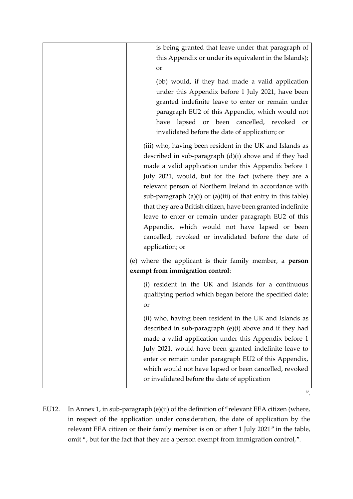| is being granted that leave under that paragraph of                                                                                |
|------------------------------------------------------------------------------------------------------------------------------------|
| this Appendix or under its equivalent in the Islands);                                                                             |
| or                                                                                                                                 |
| (bb) would, if they had made a valid application                                                                                   |
| under this Appendix before 1 July 2021, have been                                                                                  |
| granted indefinite leave to enter or remain under                                                                                  |
| paragraph EU2 of this Appendix, which would not                                                                                    |
| have lapsed or been cancelled, revoked<br>or                                                                                       |
| invalidated before the date of application; or                                                                                     |
| (iii) who, having been resident in the UK and Islands as                                                                           |
| described in sub-paragraph $(d)(i)$ above and if they had                                                                          |
| made a valid application under this Appendix before 1                                                                              |
| July 2021, would, but for the fact (where they are a                                                                               |
| relevant person of Northern Ireland in accordance with                                                                             |
| sub-paragraph $(a)(i)$ or $(a)(iii)$ of that entry in this table)<br>that they are a British citizen, have been granted indefinite |
| leave to enter or remain under paragraph EU2 of this                                                                               |
| Appendix, which would not have lapsed or been                                                                                      |
| cancelled, revoked or invalidated before the date of                                                                               |
| application; or                                                                                                                    |
| (e) where the applicant is their family member, a <b>person</b>                                                                    |
| exempt from immigration control:                                                                                                   |
| (i) resident in the UK and Islands for a continuous                                                                                |
| qualifying period which began before the specified date;                                                                           |
| or                                                                                                                                 |
| (ii) who, having been resident in the UK and Islands as                                                                            |
| described in sub-paragraph (e)(i) above and if they had                                                                            |
| made a valid application under this Appendix before 1                                                                              |
| July 2021, would have been granted indefinite leave to                                                                             |
| enter or remain under paragraph EU2 of this Appendix,                                                                              |
| which would not have lapsed or been cancelled, revoked<br>or invalidated before the date of application                            |
|                                                                                                                                    |

EU12. In Annex 1, in sub-paragraph (e)(ii) of the definition of "relevant EEA citizen (where, in respect of the application under consideration, the date of application by the relevant EEA citizen or their family member is on or after 1 July 2021" in the table, omit ", but for the fact that they are a person exempt from immigration control,".

 $"$ .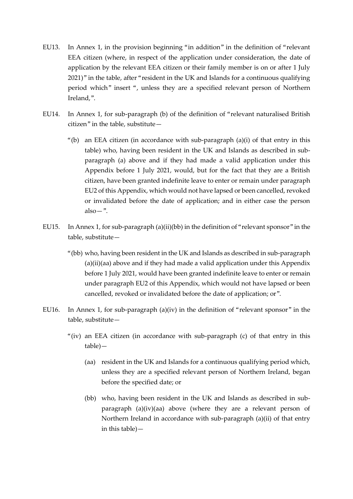- EU13. In Annex 1, in the provision beginning "in addition" in the definition of "relevant EEA citizen (where, in respect of the application under consideration, the date of application by the relevant EEA citizen or their family member is on or after 1 July 2021)" in the table, after "resident in the UK and Islands for a continuous qualifying period which" insert ", unless they are a specified relevant person of Northern Ireland,".
- EU14. In Annex 1, for sub-paragraph (b) of the definition of "relevant naturalised British citizen" in the table, substitute—
	- "(b) an EEA citizen (in accordance with sub-paragraph  $(a)(i)$  of that entry in this table) who, having been resident in the UK and Islands as described in subparagraph (a) above and if they had made a valid application under this Appendix before 1 July 2021, would, but for the fact that they are a British citizen, have been granted indefinite leave to enter or remain under paragraph EU2 of this Appendix, which would not have lapsed or been cancelled, revoked or invalidated before the date of application; and in either case the person  $also -".$
- EU15. In Annex 1, for sub-paragraph (a)(ii)(bb) in the definition of "relevant sponsor" in the table, substitute—
	- "(bb) who, having been resident in the UK and Islands as described in sub-paragraph  $(a)(ii)(aa)$  above and if they had made a valid application under this Appendix before 1 July 2021, would have been granted indefinite leave to enter or remain under paragraph EU2 of this Appendix, which would not have lapsed or been cancelled, revoked or invalidated before the date of application; or".
- EU16. In Annex 1, for sub-paragraph (a)(iv) in the definition of "relevant sponsor" in the table, substitute—
	- "(iv) an EEA citizen (in accordance with sub-paragraph (c) of that entry in this table)—
		- (aa) resident in the UK and Islands for a continuous qualifying period which, unless they are a specified relevant person of Northern Ireland, began before the specified date; or
		- (bb) who, having been resident in the UK and Islands as described in subparagraph (a)(iv)(aa) above (where they are a relevant person of Northern Ireland in accordance with sub-paragraph (a)(ii) of that entry in this table)—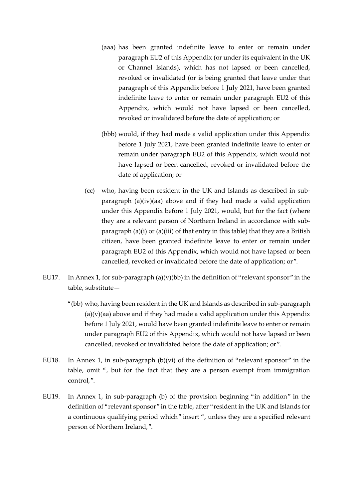- (aaa) has been granted indefinite leave to enter or remain under paragraph EU2 of this Appendix (or under its equivalent in the UK or Channel Islands), which has not lapsed or been cancelled, revoked or invalidated (or is being granted that leave under that paragraph of this Appendix before 1 July 2021, have been granted indefinite leave to enter or remain under paragraph EU2 of this Appendix, which would not have lapsed or been cancelled, revoked or invalidated before the date of application; or
- (bbb) would, if they had made a valid application under this Appendix before 1 July 2021, have been granted indefinite leave to enter or remain under paragraph EU2 of this Appendix, which would not have lapsed or been cancelled, revoked or invalidated before the date of application; or
- (cc) who, having been resident in the UK and Islands as described in subparagraph (a)(iv)(aa) above and if they had made a valid application under this Appendix before 1 July 2021, would, but for the fact (where they are a relevant person of Northern Ireland in accordance with subparagraph (a)(i) or (a)(iii) of that entry in this table) that they are a British citizen, have been granted indefinite leave to enter or remain under paragraph EU2 of this Appendix, which would not have lapsed or been cancelled, revoked or invalidated before the date of application; or".
- EU17. In Annex 1, for sub-paragraph  $(a)(v)(bb)$  in the definition of "relevant sponsor" in the table, substitute—
	- "(bb) who, having been resident in the UK and Islands as described in sub-paragraph  $(a)(v)(aa)$  above and if they had made a valid application under this Appendix before 1 July 2021, would have been granted indefinite leave to enter or remain under paragraph EU2 of this Appendix, which would not have lapsed or been cancelled, revoked or invalidated before the date of application; or".
- EU18. In Annex 1, in sub-paragraph  $(b)(vi)$  of the definition of "relevant sponsor" in the table, omit ", but for the fact that they are a person exempt from immigration control,".
- EU19. In Annex 1, in sub-paragraph (b) of the provision beginning "in addition" in the definition of "relevant sponsor" in the table, after "resident in the UK and Islands for a continuous qualifying period which" insert ", unless they are a specified relevant person of Northern Ireland,".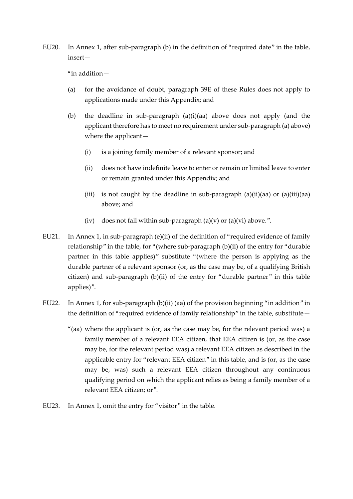EU20. In Annex 1, after sub-paragraph (b) in the definition of "required date" in the table, insert—

"in addition—

- (a) for the avoidance of doubt, paragraph 39E of these Rules does not apply to applications made under this Appendix; and
- (b) the deadline in sub-paragraph (a)(i)(aa) above does not apply (and the applicant therefore has to meet no requirement under sub-paragraph (a) above) where the applicant—
	- (i) is a joining family member of a relevant sponsor; and
	- (ii) does not have indefinite leave to enter or remain or limited leave to enter or remain granted under this Appendix; and
	- (iii) is not caught by the deadline in sub-paragraph (a)(ii)(aa) or (a)(iii)(aa) above; and
	- (iv) does not fall within sub-paragraph  $(a)(v)$  or  $(a)(vi)$  above.".
- EU21. In Annex 1, in sub-paragraph (e)(ii) of the definition of "required evidence of family relationship" in the table, for "(where sub-paragraph (b)(ii) of the entry for "durable partner in this table applies)" substitute "(where the person is applying as the durable partner of a relevant sponsor (or, as the case may be, of a qualifying British citizen) and sub-paragraph (b)(ii) of the entry for "durable partner" in this table applies)".
- EU22. In Annex 1, for sub-paragraph (b)(ii) (aa) of the provision beginning "in addition" in the definition of "required evidence of family relationship" in the table, substitute—
	- "(aa) where the applicant is (or, as the case may be, for the relevant period was) a family member of a relevant EEA citizen, that EEA citizen is (or, as the case may be, for the relevant period was) a relevant EEA citizen as described in the applicable entry for "relevant EEA citizen" in this table, and is (or, as the case may be, was) such a relevant EEA citizen throughout any continuous qualifying period on which the applicant relies as being a family member of a relevant EEA citizen; or".
- EU23. In Annex 1, omit the entry for "visitor" in the table.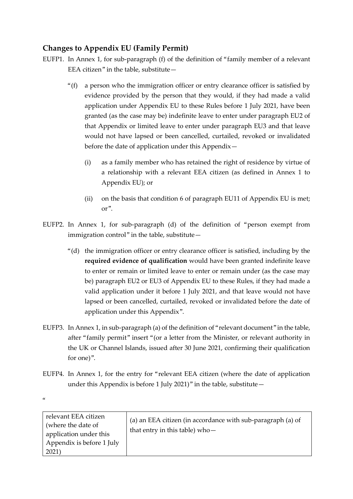# **Changes to Appendix EU (Family Permit)**

- EUFP1. In Annex 1, for sub-paragraph (f) of the definition of "family member of a relevant EEA citizen" in the table, substitute—
	- "(f) a person who the immigration officer or entry clearance officer is satisfied by evidence provided by the person that they would, if they had made a valid application under Appendix EU to these Rules before 1 July 2021, have been granted (as the case may be) indefinite leave to enter under paragraph EU2 of that Appendix or limited leave to enter under paragraph EU3 and that leave would not have lapsed or been cancelled, curtailed, revoked or invalidated before the date of application under this Appendix—
		- (i) as a family member who has retained the right of residence by virtue of a relationship with a relevant EEA citizen (as defined in Annex 1 to Appendix EU); or
		- (ii) on the basis that condition 6 of paragraph EU11 of Appendix EU is met; or".
- EUFP2. In Annex 1, for sub-paragraph (d) of the definition of "person exempt from immigration control" in the table, substitute—
	- "(d) the immigration officer or entry clearance officer is satisfied, including by the **required evidence of qualification** would have been granted indefinite leave to enter or remain or limited leave to enter or remain under (as the case may be) paragraph EU2 or EU3 of Appendix EU to these Rules, if they had made a valid application under it before 1 July 2021, and that leave would not have lapsed or been cancelled, curtailed, revoked or invalidated before the date of application under this Appendix".
- EUFP3. In Annex 1, in sub-paragraph (a) of the definition of "relevant document" in the table, after "family permit" insert "(or a letter from the Minister, or relevant authority in the UK or Channel Islands, issued after 30 June 2021, confirming their qualification for one)".
- EUFP4. In Annex 1, for the entry for "relevant EEA citizen (where the date of application under this Appendix is before 1 July 2021)" in the table, substitute—

 $\alpha$ 

| relevant EEA citizen<br>(where the date of<br>that entry in this table) who-<br>application under this<br>Appendix is before 1 July<br>2021 | (a) an EEA citizen (in accordance with sub-paragraph (a) of |
|---------------------------------------------------------------------------------------------------------------------------------------------|-------------------------------------------------------------|
|---------------------------------------------------------------------------------------------------------------------------------------------|-------------------------------------------------------------|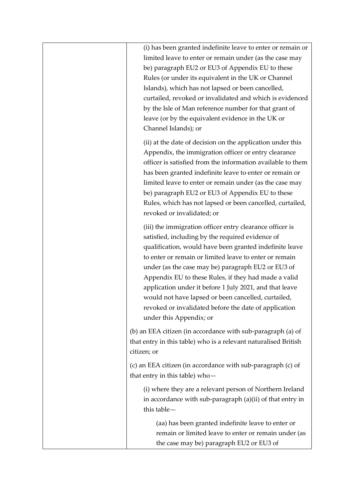| (i) has been granted indefinite leave to enter or remain or<br>limited leave to enter or remain under (as the case may<br>be) paragraph EU2 or EU3 of Appendix EU to these<br>Rules (or under its equivalent in the UK or Channel<br>Islands), which has not lapsed or been cancelled,<br>curtailed, revoked or invalidated and which is evidenced<br>by the Isle of Man reference number for that grant of<br>leave (or by the equivalent evidence in the UK or<br>Channel Islands); or                                                              |
|-------------------------------------------------------------------------------------------------------------------------------------------------------------------------------------------------------------------------------------------------------------------------------------------------------------------------------------------------------------------------------------------------------------------------------------------------------------------------------------------------------------------------------------------------------|
| (ii) at the date of decision on the application under this<br>Appendix, the immigration officer or entry clearance<br>officer is satisfied from the information available to them<br>has been granted indefinite leave to enter or remain or<br>limited leave to enter or remain under (as the case may<br>be) paragraph EU2 or EU3 of Appendix EU to these<br>Rules, which has not lapsed or been cancelled, curtailed,<br>revoked or invalidated; or                                                                                                |
| (iii) the immigration officer entry clearance officer is<br>satisfied, including by the required evidence of<br>qualification, would have been granted indefinite leave<br>to enter or remain or limited leave to enter or remain<br>under (as the case may be) paragraph EU2 or EU3 of<br>Appendix EU to these Rules, if they had made a valid<br>application under it before 1 July 2021, and that leave<br>would not have lapsed or been cancelled, curtailed,<br>revoked or invalidated before the date of application<br>under this Appendix; or |
| (b) an EEA citizen (in accordance with sub-paragraph (a) of<br>that entry in this table) who is a relevant naturalised British<br>citizen; or                                                                                                                                                                                                                                                                                                                                                                                                         |
| (c) an EEA citizen (in accordance with sub-paragraph (c) of<br>that entry in this table) who-                                                                                                                                                                                                                                                                                                                                                                                                                                                         |
| (i) where they are a relevant person of Northern Ireland<br>in accordance with sub-paragraph (a)(ii) of that entry in<br>this table-                                                                                                                                                                                                                                                                                                                                                                                                                  |
| (aa) has been granted indefinite leave to enter or<br>remain or limited leave to enter or remain under (as<br>the case may be) paragraph EU2 or EU3 of                                                                                                                                                                                                                                                                                                                                                                                                |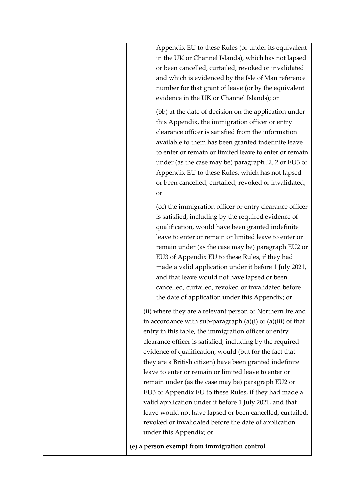| Appendix EU to these Rules (or under its equivalent<br>in the UK or Channel Islands), which has not lapsed<br>or been cancelled, curtailed, revoked or invalidated<br>and which is evidenced by the Isle of Man reference<br>number for that grant of leave (or by the equivalent<br>evidence in the UK or Channel Islands); or                                                                                                                                                                                                                                                                                                                                                                                                                           |
|-----------------------------------------------------------------------------------------------------------------------------------------------------------------------------------------------------------------------------------------------------------------------------------------------------------------------------------------------------------------------------------------------------------------------------------------------------------------------------------------------------------------------------------------------------------------------------------------------------------------------------------------------------------------------------------------------------------------------------------------------------------|
| (bb) at the date of decision on the application under<br>this Appendix, the immigration officer or entry<br>clearance officer is satisfied from the information<br>available to them has been granted indefinite leave<br>to enter or remain or limited leave to enter or remain<br>under (as the case may be) paragraph EU2 or EU3 of<br>Appendix EU to these Rules, which has not lapsed<br>or been cancelled, curtailed, revoked or invalidated;<br>or                                                                                                                                                                                                                                                                                                 |
| (cc) the immigration officer or entry clearance officer<br>is satisfied, including by the required evidence of<br>qualification, would have been granted indefinite<br>leave to enter or remain or limited leave to enter or<br>remain under (as the case may be) paragraph EU2 or<br>EU3 of Appendix EU to these Rules, if they had<br>made a valid application under it before 1 July 2021,<br>and that leave would not have lapsed or been<br>cancelled, curtailed, revoked or invalidated before<br>the date of application under this Appendix; or                                                                                                                                                                                                   |
| (ii) where they are a relevant person of Northern Ireland<br>in accordance with sub-paragraph (a)(i) or (a)(iii) of that<br>entry in this table, the immigration officer or entry<br>clearance officer is satisfied, including by the required<br>evidence of qualification, would (but for the fact that<br>they are a British citizen) have been granted indefinite<br>leave to enter or remain or limited leave to enter or<br>remain under (as the case may be) paragraph EU2 or<br>EU3 of Appendix EU to these Rules, if they had made a<br>valid application under it before 1 July 2021, and that<br>leave would not have lapsed or been cancelled, curtailed,<br>revoked or invalidated before the date of application<br>under this Appendix; or |
| (e) a person exempt from immigration control                                                                                                                                                                                                                                                                                                                                                                                                                                                                                                                                                                                                                                                                                                              |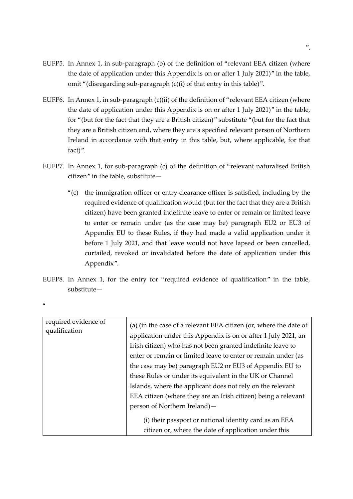- EUFP5. In Annex 1, in sub-paragraph (b) of the definition of "relevant EEA citizen (where the date of application under this Appendix is on or after 1 July 2021)" in the table, omit "(disregarding sub-paragraph (c)(i) of that entry in this table)".
- EUFP6. In Annex 1, in sub-paragraph (c)(ii) of the definition of "relevant EEA citizen (where the date of application under this Appendix is on or after 1 July 2021)" in the table, for "(but for the fact that they are a British citizen)" substitute "(but for the fact that they are a British citizen and, where they are a specified relevant person of Northern Ireland in accordance with that entry in this table, but, where applicable, for that fact)".
- EUFP7. In Annex 1, for sub-paragraph (c) of the definition of "relevant naturalised British citizen" in the table, substitute—
	- "(c) the immigration officer or entry clearance officer is satisfied, including by the required evidence of qualification would (but for the fact that they are a British citizen) have been granted indefinite leave to enter or remain or limited leave to enter or remain under (as the case may be) paragraph EU2 or EU3 of Appendix EU to these Rules, if they had made a valid application under it before 1 July 2021, and that leave would not have lapsed or been cancelled, curtailed, revoked or invalidated before the date of application under this Appendix".
- EUFP8. In Annex 1, for the entry for "required evidence of qualification" in the table, substitute—

| í<br>I<br>M.<br>on the |  |
|------------------------|--|
|                        |  |

| required evidence of<br>qualification | (a) (in the case of a relevant EEA citizen (or, where the date of<br>application under this Appendix is on or after 1 July 2021, an<br>Irish citizen) who has not been granted indefinite leave to<br>enter or remain or limited leave to enter or remain under (as<br>the case may be) paragraph EU2 or EU3 of Appendix EU to<br>these Rules or under its equivalent in the UK or Channel<br>Islands, where the applicant does not rely on the relevant<br>EEA citizen (where they are an Irish citizen) being a relevant<br>person of Northern Ireland) —<br>(i) their passport or national identity card as an EEA |
|---------------------------------------|-----------------------------------------------------------------------------------------------------------------------------------------------------------------------------------------------------------------------------------------------------------------------------------------------------------------------------------------------------------------------------------------------------------------------------------------------------------------------------------------------------------------------------------------------------------------------------------------------------------------------|
|                                       | citizen or, where the date of application under this                                                                                                                                                                                                                                                                                                                                                                                                                                                                                                                                                                  |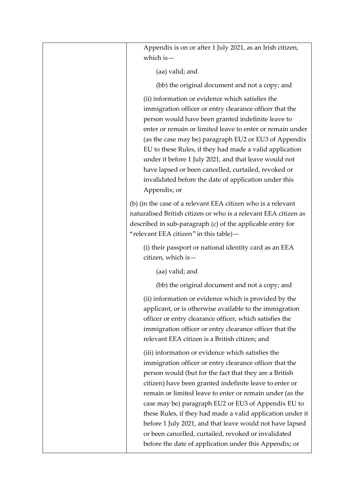| Appendix is on or after 1 July 2021, as an Irish citizen,<br>which is $-$                                                                                                                                                                                                                                                                                                                                                                                                                                                                                                                        |
|--------------------------------------------------------------------------------------------------------------------------------------------------------------------------------------------------------------------------------------------------------------------------------------------------------------------------------------------------------------------------------------------------------------------------------------------------------------------------------------------------------------------------------------------------------------------------------------------------|
| (aa) valid; and                                                                                                                                                                                                                                                                                                                                                                                                                                                                                                                                                                                  |
| (bb) the original document and not a copy; and                                                                                                                                                                                                                                                                                                                                                                                                                                                                                                                                                   |
| (ii) information or evidence which satisfies the<br>immigration officer or entry clearance officer that the<br>person would have been granted indefinite leave to<br>enter or remain or limited leave to enter or remain under<br>(as the case may be) paragraph EU2 or EU3 of Appendix<br>EU to these Rules, if they had made a valid application<br>under it before 1 July 2021, and that leave would not<br>have lapsed or been cancelled, curtailed, revoked or<br>invalidated before the date of application under this<br>Appendix; or                                                     |
| (b) (in the case of a relevant EEA citizen who is a relevant<br>naturalised British citizen or who is a relevant EEA citizen as<br>described in sub-paragraph (c) of the applicable entry for<br>"relevant EEA citizen" in this table)-                                                                                                                                                                                                                                                                                                                                                          |
| (i) their passport or national identity card as an EEA<br>citizen, which is-                                                                                                                                                                                                                                                                                                                                                                                                                                                                                                                     |
| (aa) valid; and                                                                                                                                                                                                                                                                                                                                                                                                                                                                                                                                                                                  |
| (bb) the original document and not a copy; and                                                                                                                                                                                                                                                                                                                                                                                                                                                                                                                                                   |
| (ii) information or evidence which is provided by the<br>applicant, or is otherwise available to the immigration<br>officer or entry clearance officer, which satisfies the<br>immigration officer or entry clearance officer that the<br>relevant EEA citizen is a British citizen; and                                                                                                                                                                                                                                                                                                         |
| (iii) information or evidence which satisfies the<br>immigration officer or entry clearance officer that the<br>person would (but for the fact that they are a British<br>citizen) have been granted indefinite leave to enter or<br>remain or limited leave to enter or remain under (as the<br>case may be) paragraph EU2 or EU3 of Appendix EU to<br>these Rules, if they had made a valid application under it<br>before 1 July 2021, and that leave would not have lapsed<br>or been cancelled, curtailed, revoked or invalidated<br>before the date of application under this Appendix; or |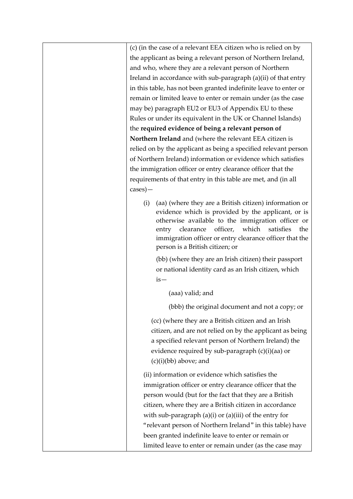(c) (in the case of a relevant EEA citizen who is relied on by the applicant as being a relevant person of Northern Ireland, and who, where they are a relevant person of Northern Ireland in accordance with sub-paragraph (a)(ii) of that entry in this table, has not been granted indefinite leave to enter or remain or limited leave to enter or remain under (as the case may be) paragraph EU2 or EU3 of Appendix EU to these Rules or under its equivalent in the UK or Channel Islands) the **required evidence of being a relevant person of Northern Ireland** and (where the relevant EEA citizen is relied on by the applicant as being a specified relevant person of Northern Ireland) information or evidence which satisfies the immigration officer or entry clearance officer that the requirements of that entry in this table are met, and (in all cases)—

(i) (aa) (where they are a British citizen) information or evidence which is provided by the applicant, or is otherwise available to the immigration officer or entry clearance officer, which satisfies the immigration officer or entry clearance officer that the person is a British citizen; or

(bb) (where they are an Irish citizen) their passport or national identity card as an Irish citizen, which is—

(aaa) valid; and

(bbb) the original document and not a copy; or

(cc) (where they are a British citizen and an Irish citizen, and are not relied on by the applicant as being a specified relevant person of Northern Ireland) the evidence required by sub-paragraph (c)(i)(aa) or (c)(i)(bb) above; and

(ii) information or evidence which satisfies the immigration officer or entry clearance officer that the person would (but for the fact that they are a British citizen, where they are a British citizen in accordance with sub-paragraph  $(a)(i)$  or  $(a)(iii)$  of the entry for "relevant person of Northern Ireland" in this table) have been granted indefinite leave to enter or remain or limited leave to enter or remain under (as the case may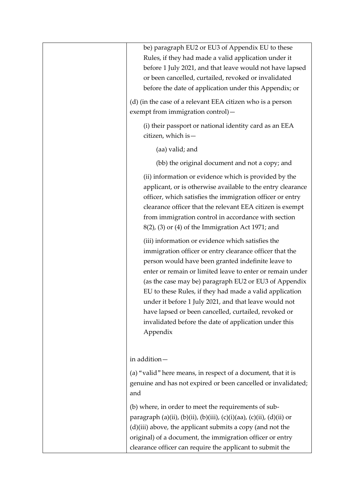| be) paragraph EU2 or EU3 of Appendix EU to these<br>Rules, if they had made a valid application under it<br>before 1 July 2021, and that leave would not have lapsed<br>or been cancelled, curtailed, revoked or invalidated<br>before the date of application under this Appendix; or                                                                                                                                                                                                                                                    |
|-------------------------------------------------------------------------------------------------------------------------------------------------------------------------------------------------------------------------------------------------------------------------------------------------------------------------------------------------------------------------------------------------------------------------------------------------------------------------------------------------------------------------------------------|
| (d) (in the case of a relevant EEA citizen who is a person<br>exempt from immigration control)-                                                                                                                                                                                                                                                                                                                                                                                                                                           |
| (i) their passport or national identity card as an EEA<br>citizen, which is -                                                                                                                                                                                                                                                                                                                                                                                                                                                             |
| (aa) valid; and                                                                                                                                                                                                                                                                                                                                                                                                                                                                                                                           |
| (bb) the original document and not a copy; and                                                                                                                                                                                                                                                                                                                                                                                                                                                                                            |
| (ii) information or evidence which is provided by the<br>applicant, or is otherwise available to the entry clearance<br>officer, which satisfies the immigration officer or entry<br>clearance officer that the relevant EEA citizen is exempt<br>from immigration control in accordance with section<br>$8(2)$ , (3) or (4) of the Immigration Act 1971; and                                                                                                                                                                             |
| (iii) information or evidence which satisfies the<br>immigration officer or entry clearance officer that the<br>person would have been granted indefinite leave to<br>enter or remain or limited leave to enter or remain under<br>(as the case may be) paragraph EU2 or EU3 of Appendix<br>EU to these Rules, if they had made a valid application<br>under it before 1 July 2021, and that leave would not<br>have lapsed or been cancelled, curtailed, revoked or<br>invalidated before the date of application under this<br>Appendix |
| in addition-                                                                                                                                                                                                                                                                                                                                                                                                                                                                                                                              |
| (a) "valid" here means, in respect of a document, that it is<br>genuine and has not expired or been cancelled or invalidated;<br>and                                                                                                                                                                                                                                                                                                                                                                                                      |
| (b) where, in order to meet the requirements of sub-<br>paragraph (a)(ii), (b)(ii), (b)(iii), (c)(i)(aa), (c)(ii), (d)(ii) or<br>(d)(iii) above, the applicant submits a copy (and not the<br>original) of a document, the immigration officer or entry<br>clearance officer can require the applicant to submit the                                                                                                                                                                                                                      |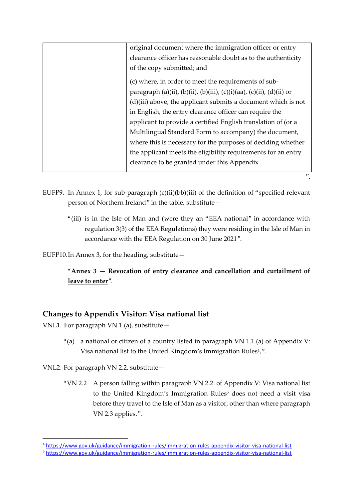| original document where the immigration officer or entry              |
|-----------------------------------------------------------------------|
| clearance officer has reasonable doubt as to the authenticity         |
| of the copy submitted; and                                            |
| (c) where, in order to meet the requirements of sub-                  |
| paragraph (a)(ii), (b)(ii), (b)(iii), (c)(i)(aa), (c)(ii), (d)(ii) or |
| $(d)(iii)$ above, the applicant submits a document which is not       |
| in English, the entry clearance officer can require the               |
| applicant to provide a certified English translation of (or a         |
| Multilingual Standard Form to accompany) the document,                |
| where this is necessary for the purposes of deciding whether          |
| the applicant meets the eligibility requirements for an entry         |
| clearance to be granted under this Appendix                           |
|                                                                       |

- EUFP9. In Annex 1, for sub-paragraph (c)(ii)(bb)(iii) of the definition of "specified relevant person of Northern Ireland" in the table, substitute—
	- "(iii) is in the Isle of Man and (were they an "EEA national" in accordance with regulation 3(3) of the EEA Regulations) they were residing in the Isle of Man in accordance with the EEA Regulation on 30 June 2021".

".

EUFP10.In Annex 3, for the heading, substitute—

"**Annex 3 — Revocation of entry clearance and cancellation and curtailment of leave to enter**".

# **Changes to Appendix Visitor: Visa national list**

VNL1. For paragraph VN 1.(a), substitute—

"(a) a national or citizen of a country listed in paragraph VN 1.1.(a) of Appendix V: Visa national list to the United Kingdom's Immigration Rules<sup>4</sup>,".

VNL2. For paragraph VN 2.2, substitute—

1

"VN 2.2 A person falling within paragraph VN 2.2. of Appendix V: Visa national list to the United Kingdom's Immigration Rules<sup>5</sup> does not need a visit visa before they travel to the Isle of Man as a visitor, other than where paragraph VN 2.3 applies.".

<sup>4</sup> <https://www.gov.uk/guidance/immigration-rules/immigration-rules-appendix-visitor-visa-national-list>

<sup>5</sup> <https://www.gov.uk/guidance/immigration-rules/immigration-rules-appendix-visitor-visa-national-list>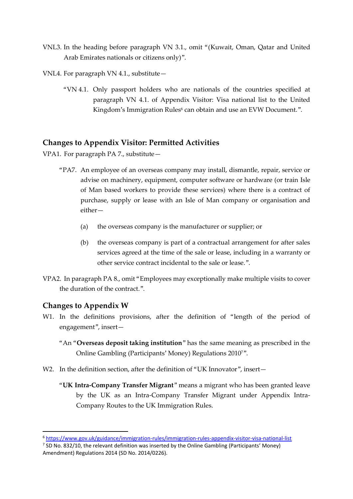- VNL3. In the heading before paragraph VN 3.1., omit "(Kuwait, Oman, Qatar and United Arab Emirates nationals or citizens only)".
- VNL4. For paragraph VN 4.1., substitute—
	- "VN 4.1. Only passport holders who are nationals of the countries specified at paragraph VN 4.1. of Appendix Visitor: Visa national list to the United Kingdom's Immigration Rules<sup>6</sup> can obtain and use an EVW Document.".

### **Changes to Appendix Visitor: Permitted Activities**

VPA1. For paragraph PA 7., substitute—

- "PA7. An employee of an overseas company may install, dismantle, repair, service or advise on machinery, equipment, computer software or hardware (or train Isle of Man based workers to provide these services) where there is a contract of purchase, supply or lease with an Isle of Man company or organisation and either—
	- (a) the overseas company is the manufacturer or supplier; or
	- (b) the overseas company is part of a contractual arrangement for after sales services agreed at the time of the sale or lease, including in a warranty or other service contract incidental to the sale or lease.".
- VPA2. In paragraph PA 8., omit "Employees may exceptionally make multiple visits to cover the duration of the contract.".

### **Changes to Appendix W**

**.** 

- W1. In the definitions provisions, after the definition of "length of the period of engagement", insert—
	- "An "**Overseas deposit taking institution**" has the same meaning as prescribed in the Online Gambling (Participants' Money) Regulations 20107".
- W2. In the definition section, after the definition of "UK Innovator", insert-
	- "**UK Intra-Company Transfer Migrant**" means a migrant who has been granted leave by the UK as an Intra-Company Transfer Migrant under Appendix Intra-Company Routes to the UK Immigration Rules.

<sup>6</sup> <https://www.gov.uk/guidance/immigration-rules/immigration-rules-appendix-visitor-visa-national-list>

 $<sup>7</sup>$  SD No. 832/10, the relevant definition was inserted by the Online Gambling (Participants' Money)</sup> Amendment) Regulations 2014 (SD No. 2014/0226).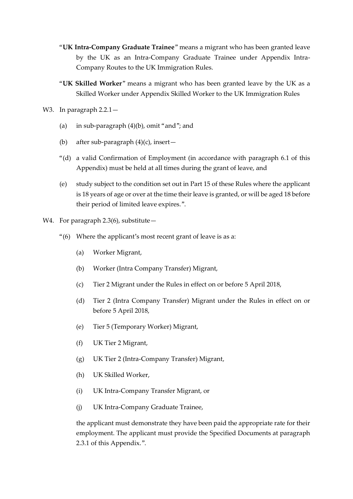- "**UK Intra-Company Graduate Trainee**" means a migrant who has been granted leave by the UK as an Intra-Company Graduate Trainee under Appendix Intra-Company Routes to the UK Immigration Rules.
- "**UK Skilled Worker**" means a migrant who has been granted leave by the UK as a Skilled Worker under Appendix Skilled Worker to the UK Immigration Rules
- W3. In paragraph 2.2.1 -
	- (a) in sub-paragraph (4)(b), omit "and"; and
	- (b) after sub-paragraph  $(4)(c)$ , insert-
	- "(d) a valid Confirmation of Employment (in accordance with paragraph 6.1 of this Appendix) must be held at all times during the grant of leave, and
	- (e) study subject to the condition set out in Part 15 of these Rules where the applicant is 18 years of age or over at the time their leave is granted, or will be aged 18 before their period of limited leave expires.".
- W4. For paragraph 2.3(6), substitute  $-$ 
	- "(6) Where the applicant's most recent grant of leave is as a:
		- (a) Worker Migrant,
		- (b) Worker (Intra Company Transfer) Migrant,
		- (c) Tier 2 Migrant under the Rules in effect on or before 5 April 2018,
		- (d) Tier 2 (Intra Company Transfer) Migrant under the Rules in effect on or before 5 April 2018,
		- (e) Tier 5 (Temporary Worker) Migrant,
		- (f) UK Tier 2 Migrant,
		- (g) UK Tier 2 (Intra-Company Transfer) Migrant,
		- (h) UK Skilled Worker,
		- (i) UK Intra-Company Transfer Migrant, or
		- (j) UK Intra-Company Graduate Trainee,

the applicant must demonstrate they have been paid the appropriate rate for their employment. The applicant must provide the Specified Documents at paragraph 2.3.1 of this Appendix.".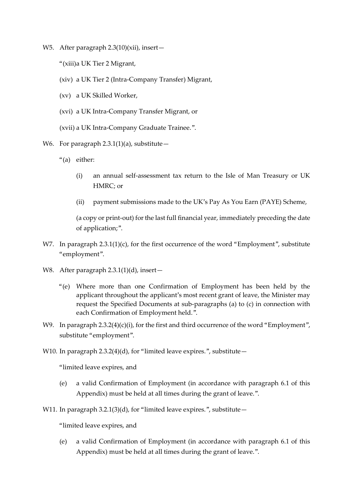- W5. After paragraph 2.3(10)(xii), insert-
	- "(xiii)a UK Tier 2 Migrant,
	- (xiv) a UK Tier 2 (Intra-Company Transfer) Migrant,
	- (xv) a UK Skilled Worker,
	- (xvi) a UK Intra-Company Transfer Migrant, or
	- (xvii) a UK Intra-Company Graduate Trainee.".
- W6. For paragraph  $2.3.1(1)(a)$ , substitute -
	- "(a) either:
		- (i) an annual self-assessment tax return to the Isle of Man Treasury or UK HMRC; or
		- (ii) payment submissions made to the UK's Pay As You Earn (PAYE) Scheme,

(a copy or print-out) for the last full financial year, immediately preceding the date of application;".

- W7. In paragraph 2.3.1(1)(c), for the first occurrence of the word "Employment", substitute "employment".
- W8. After paragraph 2.3.1(1)(d), insert—
	- "(e) Where more than one Confirmation of Employment has been held by the applicant throughout the applicant's most recent grant of leave, the Minister may request the Specified Documents at sub-paragraphs (a) to (c) in connection with each Confirmation of Employment held.".
- W9. In paragraph 2.3.2(4)(c)(i), for the first and third occurrence of the word "Employment", substitute "employment".
- W10. In paragraph  $2.3.2(4)(d)$ , for "limited leave expires.", substitute  $-$

"limited leave expires, and

- (e) a valid Confirmation of Employment (in accordance with paragraph 6.1 of this Appendix) must be held at all times during the grant of leave.".
- W11. In paragraph 3.2.1(3)(d), for "limited leave expires.", substitute-

"limited leave expires, and

(e) a valid Confirmation of Employment (in accordance with paragraph 6.1 of this Appendix) must be held at all times during the grant of leave.".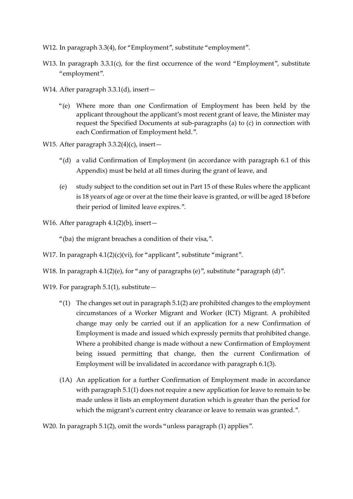- W12. In paragraph 3.3(4), for "Employment", substitute "employment".
- W13. In paragraph 3.3.1(c), for the first occurrence of the word "Employment", substitute "employment".
- W14. After paragraph 3.3.1(d), insert-
	- "(e) Where more than one Confirmation of Employment has been held by the applicant throughout the applicant's most recent grant of leave, the Minister may request the Specified Documents at sub-paragraphs (a) to (c) in connection with each Confirmation of Employment held.".
- W15. After paragraph 3.3.2(4)(c), insert-
	- "(d) a valid Confirmation of Employment (in accordance with paragraph 6.1 of this Appendix) must be held at all times during the grant of leave, and
	- (e) study subject to the condition set out in Part 15 of these Rules where the applicant is 18 years of age or over at the time their leave is granted, or will be aged 18 before their period of limited leave expires.".
- W16. After paragraph 4.1(2)(b), insert—
	- "(ba) the migrant breaches a condition of their visa,".
- W17. In paragraph 4.1(2)(c)(vi), for "applicant", substitute "migrant".
- W18. In paragraph 4.1(2)(e), for "any of paragraphs (e)", substitute "paragraph (d)".
- W19. For paragraph  $5.1(1)$ , substitute -
	- " $(1)$  The changes set out in paragraph 5.1 $(2)$  are prohibited changes to the employment circumstances of a Worker Migrant and Worker (ICT) Migrant. A prohibited change may only be carried out if an application for a new Confirmation of Employment is made and issued which expressly permits that prohibited change. Where a prohibited change is made without a new Confirmation of Employment being issued permitting that change, then the current Confirmation of Employment will be invalidated in accordance with paragraph 6.1(3).
	- (1A) An application for a further Confirmation of Employment made in accordance with paragraph 5.1(1) does not require a new application for leave to remain to be made unless it lists an employment duration which is greater than the period for which the migrant's current entry clearance or leave to remain was granted.".

W20. In paragraph 5.1(2), omit the words "unless paragraph (1) applies".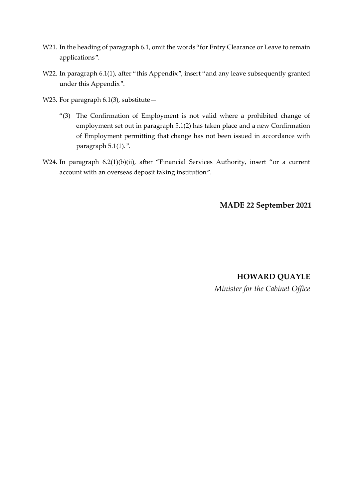- W21. In the heading of paragraph 6.1, omit the words "for Entry Clearance or Leave to remain applications".
- W22. In paragraph 6.1(1), after "this Appendix", insert "and any leave subsequently granted under this Appendix".
- W23. For paragraph  $6.1(3)$ , substitute -
	- "(3) The Confirmation of Employment is not valid where a prohibited change of employment set out in paragraph 5.1(2) has taken place and a new Confirmation of Employment permitting that change has not been issued in accordance with paragraph 5.1(1).".
- W24. In paragraph 6.2(1)(b)(ii), after "Financial Services Authority, insert "or a current account with an overseas deposit taking institution".

**MADE 22 September 2021**

**HOWARD QUAYLE**  *Minister for the Cabinet Office*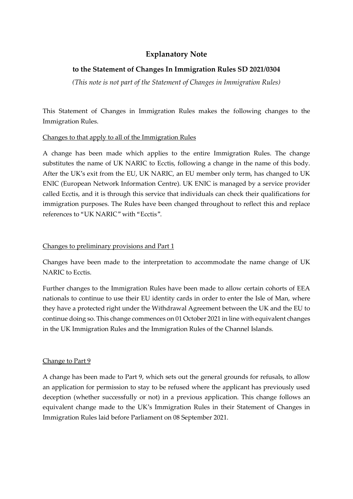# **Explanatory Note**

## **to the Statement of Changes In Immigration Rules SD 2021/0304**

*(This note is not part of the Statement of Changes in Immigration Rules)*

This Statement of Changes in Immigration Rules makes the following changes to the Immigration Rules.

### Changes to that apply to all of the Immigration Rules

A change has been made which applies to the entire Immigration Rules. The change substitutes the name of UK NARIC to Ecctis, following a change in the name of this body. After the UK's exit from the EU, UK NARIC, an EU member only term, has changed to UK ENIC (European Network Information Centre). UK ENIC is managed by a service provider called Ecctis, and it is through this service that individuals can check their qualifications for immigration purposes. The Rules have been changed throughout to reflect this and replace references to "UK NARIC" with "Ecctis".

### Changes to preliminary provisions and Part 1

Changes have been made to the interpretation to accommodate the name change of UK NARIC to Ecctis.

Further changes to the Immigration Rules have been made to allow certain cohorts of EEA nationals to continue to use their EU identity cards in order to enter the Isle of Man, where they have a protected right under the Withdrawal Agreement between the UK and the EU to continue doing so. This change commences on 01 October 2021 in line with equivalent changes in the UK Immigration Rules and the Immigration Rules of the Channel Islands.

### Change to Part 9

A change has been made to Part 9, which sets out the general grounds for refusals, to allow an application for permission to stay to be refused where the applicant has previously used deception (whether successfully or not) in a previous application. This change follows an equivalent change made to the UK's Immigration Rules in their Statement of Changes in Immigration Rules laid before Parliament on 08 September 2021.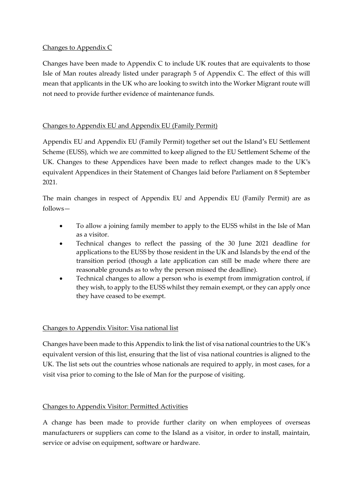### Changes to Appendix C

Changes have been made to Appendix C to include UK routes that are equivalents to those Isle of Man routes already listed under paragraph 5 of Appendix C. The effect of this will mean that applicants in the UK who are looking to switch into the Worker Migrant route will not need to provide further evidence of maintenance funds.

## Changes to Appendix EU and Appendix EU (Family Permit)

Appendix EU and Appendix EU (Family Permit) together set out the Island's EU Settlement Scheme (EUSS), which we are committed to keep aligned to the EU Settlement Scheme of the UK. Changes to these Appendices have been made to reflect changes made to the UK's equivalent Appendices in their Statement of Changes laid before Parliament on 8 September 2021.

The main changes in respect of Appendix EU and Appendix EU (Family Permit) are as follows—

- To allow a joining family member to apply to the EUSS whilst in the Isle of Man as a visitor.
- Technical changes to reflect the passing of the 30 June 2021 deadline for applications to the EUSS by those resident in the UK and Islands by the end of the transition period (though a late application can still be made where there are reasonable grounds as to why the person missed the deadline).
- Technical changes to allow a person who is exempt from immigration control, if they wish, to apply to the EUSS whilst they remain exempt, or they can apply once they have ceased to be exempt.

## Changes to Appendix Visitor: Visa national list

Changes have been made to this Appendix to link the list of visa national countries to the UK's equivalent version of this list, ensuring that the list of visa national countries is aligned to the UK. The list sets out the countries whose nationals are required to apply, in most cases, for a visit visa prior to coming to the Isle of Man for the purpose of visiting.

## Changes to Appendix Visitor: Permitted Activities

A change has been made to provide further clarity on when employees of overseas manufacturers or suppliers can come to the Island as a visitor, in order to install, maintain, service or advise on equipment, software or hardware.